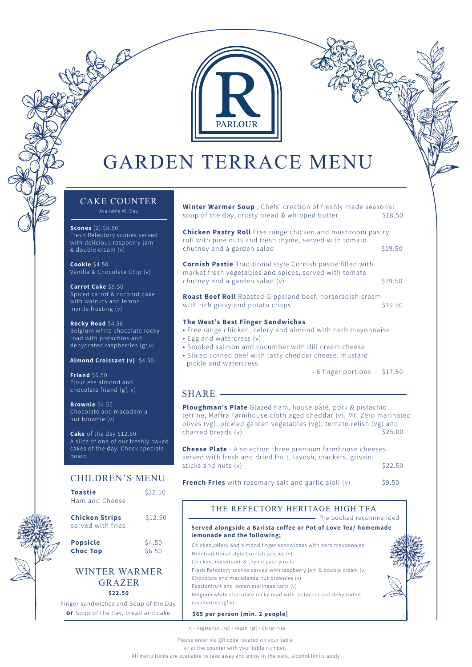

# **GARDEN TERRACE MENU**

## CAKE COUNTER

**Scones** (2) \$9.50 Fresh Refectory scones served with delicious raspberry jam & double cream (v)

**Cookie** \$4.50 Vanilla & Chocolate Chip (v)

**Carrot Cake** \$9.50 Spiced carrot & coconut cake with walnuts and lemon myrtle frosting (v)

**Rocky Road** \$4.50 Belgium white chocolate rocky road with pistachios and dehydrated raspberries (gf,v)

**Almond Croissant (v)** \$4.50

**Friand** \$6.50 Flourless almond and chocolate friand (gf, v)

**Brownie** \$4.50 Chocolate and macadamia nut brownie (v)

**Cake** of the day \$12.50 A slice of one of our freshly baked cakes of the day. Check specials board

## CHILDREN'S MENU

| <b>Toastie</b><br>Ham and Cheese           | \$12.50          |
|--------------------------------------------|------------------|
| <b>Chicken Strips</b><br>served with fries | \$12.50          |
| <b>Popsicle</b><br><b>Choc Top</b>         | \$4.50<br>\$6.50 |

## **\$22.50** WINTER WARMER GRAZER

Finger sandwiches and Soup of the Day **or** Soup of the day, bread and cake

**Winter Warmer Soup** , Chefs' creation of freshly made seasonal soup of the day, crusty bread & whipped butter \$18.50

**Chicken Pastry Roll** Free range chicken and mushroom pastry roll with pine nuts and fresh thyme, served with tomato chutney and a garden salad \$19.50

**Cornish Pastie** Traditional style Cornish pastie filled with market fresh vegetables and spices, served with tomato chutney and a garden salad (v) \$19.50

**Roast Beef Roll** Roasted Gippsland beef, horseradish cream with rich gravy and potato crisps \$19.50

#### **The West's Best Finger Sandwiches**

- Free range chicken, celery and almond with herb mayonnaise
- Egg and watercress (v)
- Smoked salmon and cucumber with dill cream cheese
- Sliced corned beef with tasty cheddar cheese, mustard pickle and watercress

- 6 finger portions \$17.50

## SHARE -

**Ploughman's Plate** Glazed ham, house pâté, pork & pistachio terrine, Maffra Farmhouse cloth aged cheddar (v), Mt. Zero marinated olives (vg), pickled garden vegetables (vg), tomato relish (vg) and charred breads (v) \$25.00

**Cheese Plate** - A selection three premium farmhouse cheeses served with fresh and dried fruit, lavosh, crackers, grissini sticks and nuts (v) \$22.50

**French Fries** with rosemary salt and garlic aioli (v) \$9.50

## THE REFECTORY HERITAGE HIGH TEA

- Pre booked recommended

### **Served alongside a Barista coffee or Pot of Love Tea/ homemade lemonade and the following;**

Chicken,celery and almond finger sandwiches with herb mayonnaise Mini traditional style Cornish pasties (v) Chicken, mushroom & thyme pastry rolls Fresh Refectory scones served with raspberry jam & double cream (v) Chocolate and macadamia nut brownies (v) Passionfruit and lemon meringue tarts (v) Belgium white chocolate rocky road with pistachio and dehydrated raspberries (gf,v) **\$65 per person (min. 2 people)**



(v) - Vegetarian, (vg) - Vegan, (gf) - Gluten free

Please order via QR code located on your table

or at the counter with your table number.

All menu items are available to take away and enjoy in the park, alcohol limits apply